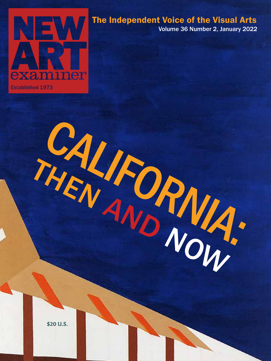

# The Independent Voice of the Visual Arts Volume 36 Number 2, January 2022

CALIFORNIA:

THEN AND NOW

\$20 U.S.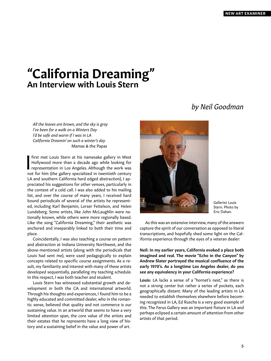# "California Dreaming" An Interview with Louis Stern

#### *All the leaves are brown, and the sky is gray I've been for a walk on a Winters Day I'd be safe and warm if I was in LA California Dreamin' on such a winter's day* Mamas & the Papas

**I** first met Louis Stern at his namesake gallery in West<br>Hollywood more than a decade ago while looking for<br>representation in Los Angeles. Although the work was<br>not for him (the gallery specialized in two tight contunu Hollywood more than a decade ago while looking for representation in Los Angeles. Although the work was not for him (the gallery specialized in twentieth century LA and southern California hard edged abstraction), I appreciated his suggestions for other venues, particularly in the context of a cold call. I was also added to his mailing list, and over the course of many years, I received hard bound periodicals of several of the artists he represented, including Karl Benjamin, Lorser Feitelson, and Helen Lundeberg. Some artists, like John McLaughlin were nationally known, while others were more regionally based. Like the song "California Dreaming," their aesthetic was anchored and inseparably linked to both their time and place.

Coincidentally, I was also teaching a course on pattern and abstraction at Indiana University Northwest, and the above-mentioned artists (along with the periodicals that Louis had sent me), were used pedagogically to explain concepts related to specific course assignments. As a result, my familiarity and interest with many of these artists developed sequentially, paralleling my teaching schedule. In this respect, I was both teacher and student.

Louis Stern has witnessed substantial growth and development in both the CA and international artworld. Through his thoughts and experiences, I found him to be a highly educated and committed dealer, who in the romantic sense, believed that quality and not commerce is our sustaining value. In an artworld that seems to have a very limited attention span, the core value of the artists and their estates that he represents have a long view of history and a sustaining belief in the value and power of art.



Gallerist Louis Stern. Photo by

Eric Dahan.

*by Neil Goodman*

As this was an extensive interview, many of the answers capture the spirit of our conversation as opposed to literal transcriptions, and hopefully shed some light on the California experience through the eyes of a veteran dealer:

Neil: In my earlier years, California evoked a place both imagined and real. The movie "Echo in the Canyon" by Andrew Slater portrayed the musical confluence of the early 1970's. As a longtime Los Angeles dealer, do you see any equivalency in your California experience?

Louis: LA lacks a sense of a "hornet's nest," as there is not a strong center but rather a series of pockets, each geographically distant. Many of the leading artists in LA needed to establish themselves elsewhere before becoming recognized in LA, Ed Ruscha is a very good example of this. The Ferus Gallery was an important fixture in LA and perhaps eclipsed a certain amount of attention from other artists of that period.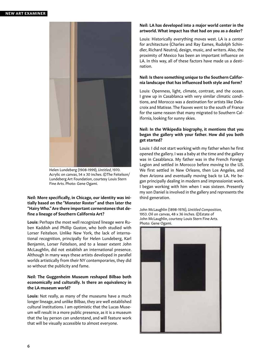

Helen Lundeberg (1908-1999), *Untitled*, 1970. Acrylic on canvas, 54 x 30 inches. ©The Feitelson/ Lundeberg Art Foundation, courtesy Louis Stern Fine Arts. Photo: Gene Ogami.

Neil: More specifically, in Chicago, our identity was initially based on the "Monster Roster" and then later the "Hairy Who." Are there important cornerstones that define a lineage of Southern California Art?

Louis: Perhaps the most well recognized lineage were Ruben Kaddish and Phillip Guston, who both studied with Lorser Feitelson. Unlike New York, the lack of international recognition, principally for Helen Lundeberg, Karl Benjamin, Lorser Feitelson, and to a lesser extent John McLaughlin, did not establish an international presence. Although in many ways these artists developed in parallel worlds artistically from their NY contemporaries, they did so without the publicity and fame.

#### Neil: The Guggenheim Museum reshaped Bilbao both economically and culturally. Is there an equivalency in the LA museum world?

Louis: Not really, as many of the museums have a much longer lineage, and unlike Bilbao, they are well established cultural institutions. I am optimistic that the Lucas Museum will result in a more public presence, as it is a museum that the lay person can understand, and will feature work that will be visually accessible to almost everyone.

# Neil: LA has developed into a major world center in the artworld. What impact has that had on you as a dealer?

Louis: Historically everything moves west. LA is a center for architecture (Charles and Ray Eames, Rudolph Schindler, Richard Neutra), design, music, and writers. Also, the proximity of Mexico has been an important influence on LA. In this way, all of these factors have made us a destination.

# Neil: Is there something unique to the Southern California landscape that has influenced both style and form?

Louis: Openness, light, climate, contrast, and the ocean. I grew up in Casablanca with very similar climatic conditions, and Morocco was a destination for artists like Delacroix and Matisse. The Fauves went to the south of France for the same reason that many migrated to Southern California, looking for sunny skies.

# Neil: In the Wikipedia biography, it mentions that you began the gallery with your father. How did you both get started?

Louis: I did not start working with my father when he first opened the gallery. I was a baby at the time and the gallery was in Casablanca. My father was in the French Foreign Legion and settled in Morocco before moving to the US. We first settled in New Orleans, then Los Angeles, and then Arizona and eventually moving back to LA. He began principally dealing in modern and impressionist work. I began working with him when I was sixteen. Presently my son Daniel is involved in the gallery and represents the third generation.

John McLaughlin (1898-1976), *Untitled Composition*, 1953. Oil on canvas, 48 x 36 inches. ©Estate of John McLaughlin, courtesy Louis Stern Fine Arts. Photo: Gene Ogami.

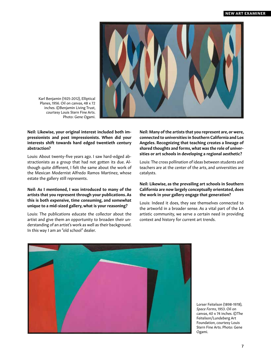![](_page_3_Picture_1.jpeg)

Karl Benjamin (1925-2012), Elliptical Planes, 1956. Oil on canvas, 48 x 72 inches. ©Benjamin Living Trust, courtesy Louis Stern Fine Arts. Photo: Gene Ogami.

### Neil: Likewise, your original interest included both impressionists and post impressionists. When did your interests shift towards hard edged twentieth century abstraction?

Louis: About twenty-five years ago. I saw hard-edged abstractionists as a group that had not gotten its due. Although quite different, I felt the same about the work of the Mexican Modernist Alfredo Ramos Martinez, whose estate the gallery still represents.

#### Neil: As I mentioned, I was introduced to many of the artists that you represent through your publications. As this is both expensive, time consuming, and somewhat unique to a mid-sized gallery, what is your reasoning?

Louis: The publications educate the collector about the artist and give them an opportunity to broaden their understanding of an artist's work as well as their background. In this way I am an "old school" dealer.

Neil: Many of the artists that you represent are, or were, connected to universities in Southern California and Los Angeles. Recognizing that teaching creates a lineage of shared thoughts and forms, what was the role of universities or art schools in developing a regional aesthetic?

Louis: The cross pollination of ideas between students and teachers are at the center of the arts, and universities are catalysts.

#### Neil: Likewise, as the prevailing art schools in Southern California are now largely conceptually orientated, does the work in your gallery engage that generation?

Louis: Indeed it does, they see themselves connected to the artworld in a broader sense. As a vital part of the LA artistic community, we serve a certain need in providing context and history for current art trends.

![](_page_3_Picture_11.jpeg)

Lorser Feitelson (1898-1978), *Space Forms*, 1953. Oil on canvas, 40 x 74 inches. ©The Feitelson/Lundeberg Art Foundation, courtesy Louis Stern Fine Arts. Photo: Gene Ogami.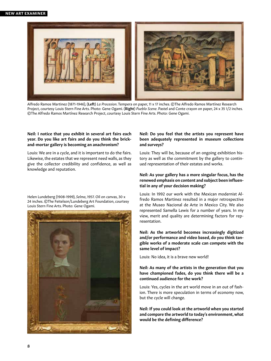![](_page_4_Picture_1.jpeg)

Alfredo Ramos Martinez (1871-1946), (Left) *La Procesion*. Tempera on paper, 11 x 17 inches. ©The Alfredo Ramos Martínez Research Project, courtesy Louis Stern Fine Arts. Photo: Gene Ogami. (Right) *Pueblo Scene*. Pastel and Conte crayon on paper, 24 x 35 1/2 inches. ©The Alfredo Ramos Martínez Research Project, courtesy Louis Stern Fine Arts. Photo: Gene Ogami.

#### Neil: I notice that you exhibit in several art fairs each year. Do you like art fairs and do you think the brickand-mortar gallery is becoming an anachronism?

Louis: We are in a cycle, and it is important to do the fairs. Likewise, the estates that we represent need walls, as they give the collector credibility and confidence, as well as knowledge and reputation.

Helen Lundeberg (1908-1999), *Selma*, 1957. Oil on canvas, 30 x 24 inches. ©The Feitelson/Lundeberg Art Foundation, courtesy Louis Stern Fine Arts. Photo: Gene Ogami.

![](_page_4_Picture_6.jpeg)

#### Neil: Do you feel that the artists you represent have been adequately represented in museum collections and surveys?

Louis: They will be, because of an ongoing exhibition history as well as the commitment by the gallery to continued representation of their estates and works.

#### Neil: As your gallery has a more singular focus, has the renewed emphasis on content and subject been influential in any of your decision making?

Louis: In 1992 our work with the Mexican modernist Alfredo Ramos Martinez resulted in a major retrospective at the Museo Nacional de Arte in Mexico City. We also represented Samella Lewis for a number of years. In my view, merit and quality are determining factors for representation.

### Neil: As the artworld becomes increasingly digitized and/or performance and video based, do you think tangible works of a moderate scale can compete with the same level of impact?

Louis: No idea, it is a brave new world!

#### Neil: As many of the artists in the generation that you have championed fades, do you think there will be a continued audience for the work?

Louis: Yes, cycles in the art world move in an out of fashion. There is more speculation in terms of economy now, but the cycle will change.

Neil: If you could look at the artworld when you started and compare the artworld to today's environment, what would be the defining difference?